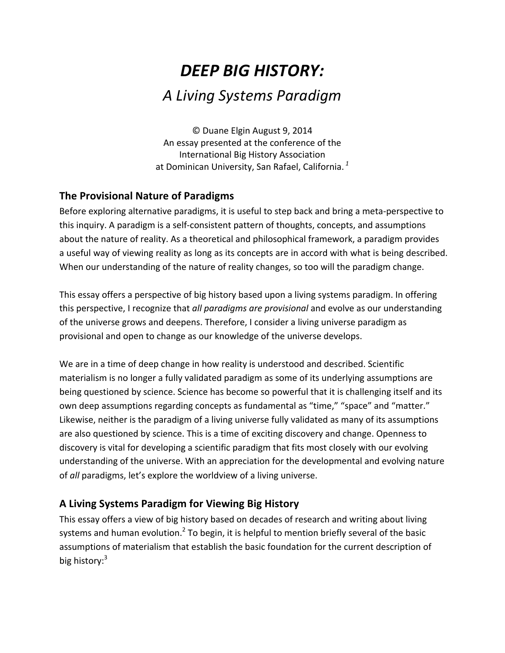## *DEEP BIG HISTORY: A Living Systems Paradigm*

© Duane Elgin August 9, 2014 An essay presented at the conference of the International Big History Association at Dominican University, San Rafael, California.<sup>1</sup>

## **The Provisional Nature of Paradigms**

Before exploring alternative paradigms, it is useful to step back and bring a meta-perspective to this inquiry. A paradigm is a self-consistent pattern of thoughts, concepts, and assumptions about the nature of reality. As a theoretical and philosophical framework, a paradigm provides a useful way of viewing reality as long as its concepts are in accord with what is being described. When our understanding of the nature of reality changes, so too will the paradigm change.

This essay offers a perspective of big history based upon a living systems paradigm. In offering this perspective, I recognize that all paradigms are provisional and evolve as our understanding of the universe grows and deepens. Therefore, I consider a living universe paradigm as provisional and open to change as our knowledge of the universe develops.

We are in a time of deep change in how reality is understood and described. Scientific materialism is no longer a fully validated paradigm as some of its underlying assumptions are being questioned by science. Science has become so powerful that it is challenging itself and its own deep assumptions regarding concepts as fundamental as "time," "space" and "matter." Likewise, neither is the paradigm of a living universe fully validated as many of its assumptions are also questioned by science. This is a time of exciting discovery and change. Openness to discovery is vital for developing a scientific paradigm that fits most closely with our evolving understanding of the universe. With an appreciation for the developmental and evolving nature of *all* paradigms, let's explore the worldview of a living universe.

## **A Living Systems Paradigm for Viewing Big History**

This essay offers a view of big history based on decades of research and writing about living systems and human evolution.<sup>2</sup> To begin, it is helpful to mention briefly several of the basic assumptions of materialism that establish the basic foundation for the current description of big history:<sup>3</sup>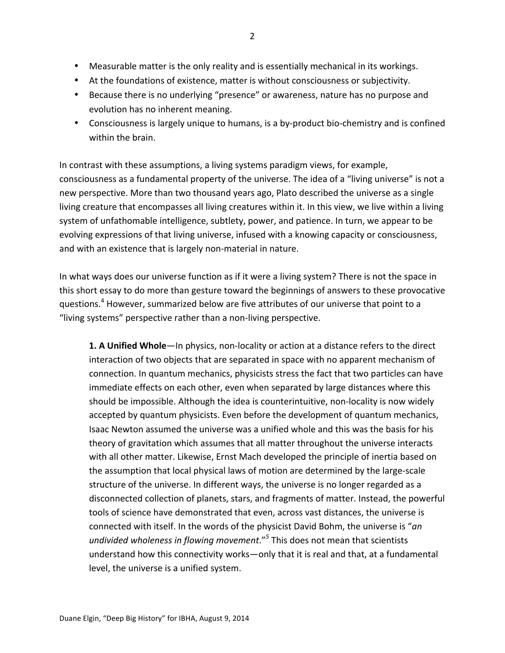- Measurable matter is the only reality and is essentially mechanical in its workings.
- At the foundations of existence, matter is without consciousness or subjectivity.
- Because there is no underlying "presence" or awareness, nature has no purpose and evolution has no inherent meaning.
- Consciousness is largely unique to humans, is a by-product bio-chemistry and is confined within the brain.

In contrast with these assumptions, a living systems paradigm views, for example, consciousness as a fundamental property of the universe. The idea of a "living universe" is not a new perspective. More than two thousand years ago, Plato described the universe as a single living creature that encompasses all living creatures within it. In this view, we live within a living system of unfathomable intelligence, subtlety, power, and patience. In turn, we appear to be evolving expressions of that living universe, infused with a knowing capacity or consciousness, and with an existence that is largely non-material in nature.

In what ways does our universe function as if it were a living system? There is not the space in this short essay to do more than gesture toward the beginnings of answers to these provocative questions.<sup>4</sup> However, summarized below are five attributes of our universe that point to a "living systems" perspective rather than a non-living perspective.

**1. A Unified Whole**—In physics, non-locality or action at a distance refers to the direct interaction of two objects that are separated in space with no apparent mechanism of connection. In quantum mechanics, physicists stress the fact that two particles can have immediate effects on each other, even when separated by large distances where this should be impossible. Although the idea is counterintuitive, non-locality is now widely accepted by quantum physicists. Even before the development of quantum mechanics, Isaac Newton assumed the universe was a unified whole and this was the basis for his theory of gravitation which assumes that all matter throughout the universe interacts with all other matter. Likewise, Ernst Mach developed the principle of inertia based on the assumption that local physical laws of motion are determined by the large-scale structure of the universe. In different ways, the universe is no longer regarded as a disconnected collection of planets, stars, and fragments of matter. Instead, the powerful tools of science have demonstrated that even, across vast distances, the universe is connected with itself. In the words of the physicist David Bohm, the universe is "an *undivided* wholeness in flowing movement."<sup>5</sup> This does not mean that scientists understand how this connectivity works—only that it is real and that, at a fundamental level, the universe is a unified system.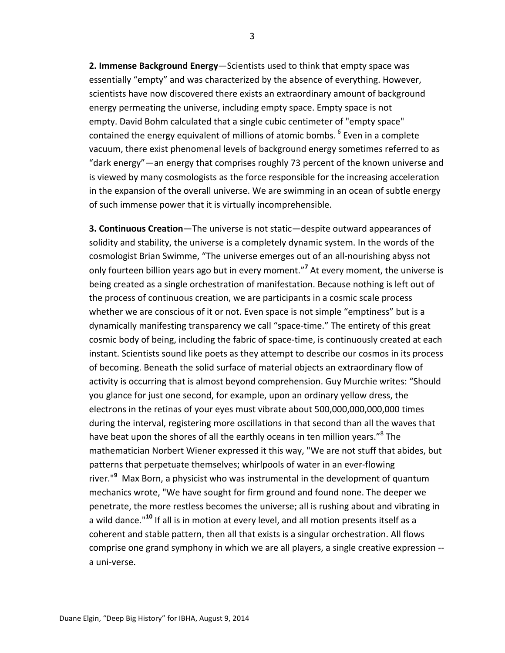**2. Immense Background Energy**—Scientists used to think that empty space was essentially "empty" and was characterized by the absence of everything. However, scientists have now discovered there exists an extraordinary amount of background energy permeating the universe, including empty space. Empty space is not empty. David Bohm calculated that a single cubic centimeter of "empty space" contained the energy equivalent of millions of atomic bombs.  $6$  Even in a complete vacuum, there exist phenomenal levels of background energy sometimes referred to as "dark energy"—an energy that comprises roughly 73 percent of the known universe and is viewed by many cosmologists as the force responsible for the increasing acceleration in the expansion of the overall universe. We are swimming in an ocean of subtle energy of such immense power that it is virtually incomprehensible.

**3. Continuous Creation**—The universe is not static—despite outward appearances of solidity and stability, the universe is a completely dynamic system. In the words of the cosmologist Brian Swimme, "The universe emerges out of an all-nourishing abyss not only fourteen billion years ago but in every moment."<sup>7</sup> At every moment, the universe is being created as a single orchestration of manifestation. Because nothing is left out of the process of continuous creation, we are participants in a cosmic scale process whether we are conscious of it or not. Even space is not simple "emptiness" but is a dynamically manifesting transparency we call "space-time." The entirety of this great cosmic body of being, including the fabric of space-time, is continuously created at each instant. Scientists sound like poets as they attempt to describe our cosmos in its process of becoming. Beneath the solid surface of material objects an extraordinary flow of activity is occurring that is almost beyond comprehension. Guy Murchie writes: "Should you glance for just one second, for example, upon an ordinary yellow dress, the electrons in the retinas of your eyes must vibrate about 500,000,000,000,000 times during the interval, registering more oscillations in that second than all the waves that have beat upon the shores of all the earthly oceans in ten million years."<sup>8</sup> The mathematician Norbert Wiener expressed it this way, "We are not stuff that abides, but patterns that perpetuate themselves; whirlpools of water in an ever-flowing river.<sup>"</sup> Max Born, a physicist who was instrumental in the development of quantum mechanics wrote, "We have sought for firm ground and found none. The deeper we penetrate, the more restless becomes the universe; all is rushing about and vibrating in a wild dance."<sup>10</sup> If all is in motion at every level, and all motion presents itself as a coherent and stable pattern, then all that exists is a singular orchestration. All flows comprise one grand symphony in which we are all players, a single creative expression -a uni-verse.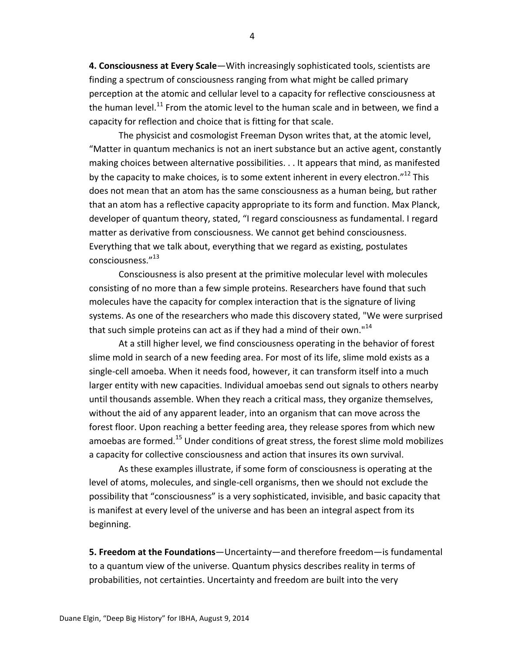4. Consciousness at Every Scale-With increasingly sophisticated tools, scientists are finding a spectrum of consciousness ranging from what might be called primary perception at the atomic and cellular level to a capacity for reflective consciousness at the human level.<sup>11</sup> From the atomic level to the human scale and in between, we find a capacity for reflection and choice that is fitting for that scale.

The physicist and cosmologist Freeman Dyson writes that, at the atomic level, "Matter in quantum mechanics is not an inert substance but an active agent, constantly making choices between alternative possibilities. . . It appears that mind, as manifested by the capacity to make choices, is to some extent inherent in every electron."<sup>12</sup> This does not mean that an atom has the same consciousness as a human being, but rather that an atom has a reflective capacity appropriate to its form and function. Max Planck, developer of quantum theory, stated, "I regard consciousness as fundamental. I regard matter as derivative from consciousness. We cannot get behind consciousness. Everything that we talk about, everything that we regard as existing, postulates consciousness." 13

Consciousness is also present at the primitive molecular level with molecules consisting of no more than a few simple proteins. Researchers have found that such molecules have the capacity for complex interaction that is the signature of living systems. As one of the researchers who made this discovery stated, "We were surprised that such simple proteins can act as if they had a mind of their own."<sup>14</sup>

At a still higher level, we find consciousness operating in the behavior of forest slime mold in search of a new feeding area. For most of its life, slime mold exists as a single-cell amoeba. When it needs food, however, it can transform itself into a much larger entity with new capacities. Individual amoebas send out signals to others nearby until thousands assemble. When they reach a critical mass, they organize themselves, without the aid of any apparent leader, into an organism that can move across the forest floor. Upon reaching a better feeding area, they release spores from which new amoebas are formed.<sup>15</sup> Under conditions of great stress, the forest slime mold mobilizes a capacity for collective consciousness and action that insures its own survival.

As these examples illustrate, if some form of consciousness is operating at the level of atoms, molecules, and single-cell organisms, then we should not exclude the possibility that "consciousness" is a very sophisticated, invisible, and basic capacity that is manifest at every level of the universe and has been an integral aspect from its beginning.

**5. Freedom at the Foundations**—Uncertainty—and therefore freedom—is fundamental to a quantum view of the universe. Quantum physics describes reality in terms of probabilities, not certainties. Uncertainty and freedom are built into the very

4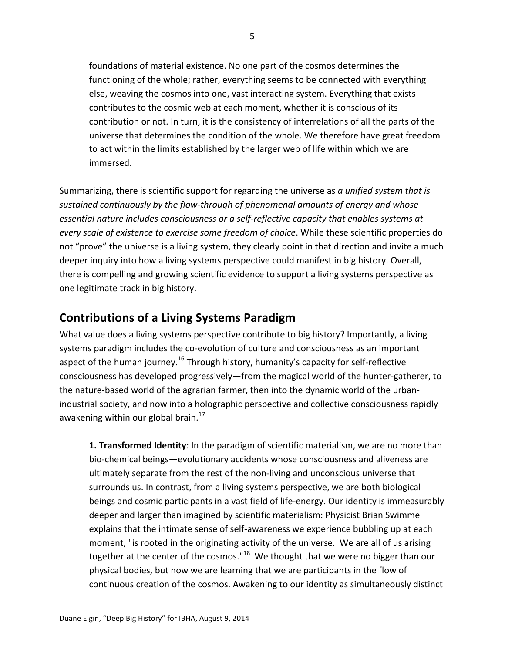foundations of material existence. No one part of the cosmos determines the functioning of the whole; rather, everything seems to be connected with everything else, weaving the cosmos into one, vast interacting system. Everything that exists contributes to the cosmic web at each moment, whether it is conscious of its contribution or not. In turn, it is the consistency of interrelations of all the parts of the universe that determines the condition of the whole. We therefore have great freedom to act within the limits established by the larger web of life within which we are immersed.

Summarizing, there is scientific support for regarding the universe as *a unified system that is sustained continuously by the flow-through of phenomenal amounts of energy and whose* essential nature includes consciousness or a self-reflective capacity that enables systems at *every scale of existence to exercise some freedom of choice.* While these scientific properties do not "prove" the universe is a living system, they clearly point in that direction and invite a much deeper inquiry into how a living systems perspective could manifest in big history. Overall, there is compelling and growing scientific evidence to support a living systems perspective as one legitimate track in big history.

## **Contributions of a Living Systems Paradigm**

What value does a living systems perspective contribute to big history? Importantly, a living systems paradigm includes the co-evolution of culture and consciousness as an important aspect of the human journey.<sup>16</sup> Through history, humanity's capacity for self-reflective consciousness has developed progressively—from the magical world of the hunter-gatherer, to the nature-based world of the agrarian farmer, then into the dynamic world of the urbanindustrial society, and now into a holographic perspective and collective consciousness rapidly awakening within our global brain.<sup>17</sup>

**1. Transformed Identity**: In the paradigm of scientific materialism, we are no more than bio-chemical beings—evolutionary accidents whose consciousness and aliveness are ultimately separate from the rest of the non-living and unconscious universe that surrounds us. In contrast, from a living systems perspective, we are both biological beings and cosmic participants in a vast field of life-energy. Our identity is immeasurably deeper and larger than imagined by scientific materialism: Physicist Brian Swimme explains that the intimate sense of self-awareness we experience bubbling up at each moment, "is rooted in the originating activity of the universe. We are all of us arising together at the center of the cosmos." $18$  We thought that we were no bigger than our physical bodies, but now we are learning that we are participants in the flow of continuous creation of the cosmos. Awakening to our identity as simultaneously distinct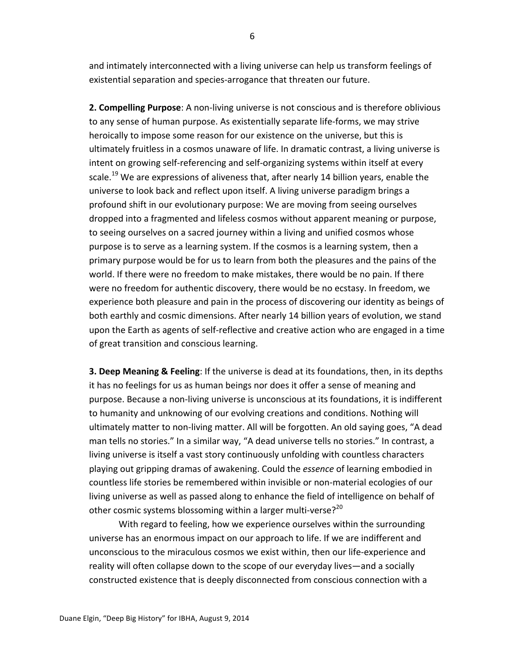and intimately interconnected with a living universe can help us transform feelings of existential separation and species-arrogance that threaten our future.

**2. Compelling Purpose**: A non-living universe is not conscious and is therefore oblivious to any sense of human purpose. As existentially separate life-forms, we may strive heroically to impose some reason for our existence on the universe, but this is ultimately fruitless in a cosmos unaware of life. In dramatic contrast, a living universe is intent on growing self-referencing and self-organizing systems within itself at every scale.<sup>19</sup> We are expressions of aliveness that, after nearly 14 billion years, enable the universe to look back and reflect upon itself. A living universe paradigm brings a profound shift in our evolutionary purpose: We are moving from seeing ourselves dropped into a fragmented and lifeless cosmos without apparent meaning or purpose, to seeing ourselves on a sacred journey within a living and unified cosmos whose purpose is to serve as a learning system. If the cosmos is a learning system, then a primary purpose would be for us to learn from both the pleasures and the pains of the world. If there were no freedom to make mistakes, there would be no pain. If there were no freedom for authentic discovery, there would be no ecstasy. In freedom, we experience both pleasure and pain in the process of discovering our identity as beings of both earthly and cosmic dimensions. After nearly 14 billion years of evolution, we stand upon the Earth as agents of self-reflective and creative action who are engaged in a time of great transition and conscious learning.

**3. Deep Meaning & Feeling**: If the universe is dead at its foundations, then, in its depths it has no feelings for us as human beings nor does it offer a sense of meaning and purpose. Because a non-living universe is unconscious at its foundations, it is indifferent to humanity and unknowing of our evolving creations and conditions. Nothing will ultimately matter to non-living matter. All will be forgotten. An old saying goes, "A dead man tells no stories." In a similar way, "A dead universe tells no stories." In contrast, a living universe is itself a vast story continuously unfolding with countless characters playing out gripping dramas of awakening. Could the *essence* of learning embodied in countless life stories be remembered within invisible or non-material ecologies of our living universe as well as passed along to enhance the field of intelligence on behalf of other cosmic systems blossoming within a larger multi-verse? $^{20}$ 

With regard to feeling, how we experience ourselves within the surrounding universe has an enormous impact on our approach to life. If we are indifferent and unconscious to the miraculous cosmos we exist within, then our life-experience and reality will often collapse down to the scope of our everyday lives—and a socially constructed existence that is deeply disconnected from conscious connection with a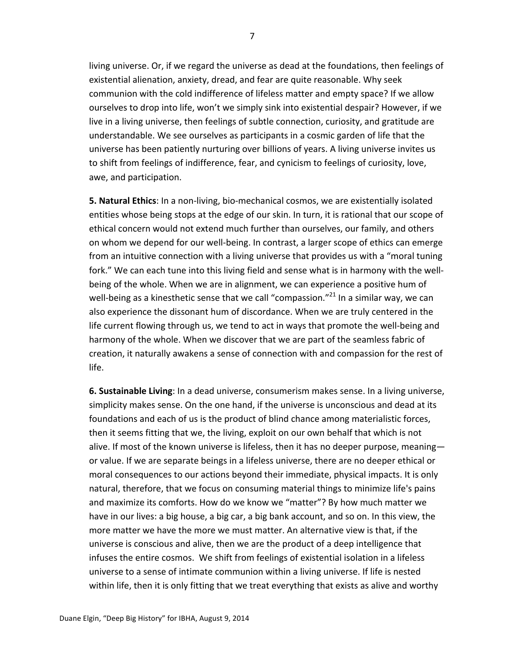living universe. Or, if we regard the universe as dead at the foundations, then feelings of existential alienation, anxiety, dread, and fear are quite reasonable. Why seek communion with the cold indifference of lifeless matter and empty space? If we allow ourselves to drop into life, won't we simply sink into existential despair? However, if we live in a living universe, then feelings of subtle connection, curiosity, and gratitude are understandable. We see ourselves as participants in a cosmic garden of life that the universe has been patiently nurturing over billions of years. A living universe invites us to shift from feelings of indifference, fear, and cynicism to feelings of curiosity, love, awe, and participation.

**5. Natural Ethics**: In a non-living, bio-mechanical cosmos, we are existentially isolated entities whose being stops at the edge of our skin. In turn, it is rational that our scope of ethical concern would not extend much further than ourselves, our family, and others on whom we depend for our well-being. In contrast, a larger scope of ethics can emerge from an intuitive connection with a living universe that provides us with a "moral tuning" fork." We can each tune into this living field and sense what is in harmony with the wellbeing of the whole. When we are in alignment, we can experience a positive hum of well-being as a kinesthetic sense that we call "compassion."<sup>21</sup> In a similar way, we can also experience the dissonant hum of discordance. When we are truly centered in the life current flowing through us, we tend to act in ways that promote the well-being and harmony of the whole. When we discover that we are part of the seamless fabric of creation, it naturally awakens a sense of connection with and compassion for the rest of life.

**6. Sustainable Living**: In a dead universe, consumerism makes sense. In a living universe, simplicity makes sense. On the one hand, if the universe is unconscious and dead at its foundations and each of us is the product of blind chance among materialistic forces, then it seems fitting that we, the living, exploit on our own behalf that which is not alive. If most of the known universe is lifeless, then it has no deeper purpose, meaning or value. If we are separate beings in a lifeless universe, there are no deeper ethical or moral consequences to our actions beyond their immediate, physical impacts. It is only natural, therefore, that we focus on consuming material things to minimize life's pains and maximize its comforts. How do we know we "matter"? By how much matter we have in our lives: a big house, a big car, a big bank account, and so on. In this view, the more matter we have the more we must matter. An alternative view is that, if the universe is conscious and alive, then we are the product of a deep intelligence that infuses the entire cosmos. We shift from feelings of existential isolation in a lifeless universe to a sense of intimate communion within a living universe. If life is nested within life, then it is only fitting that we treat everything that exists as alive and worthy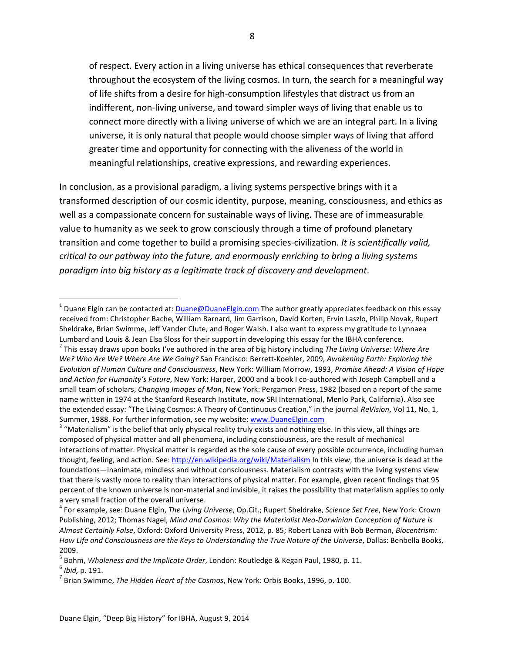of respect. Every action in a living universe has ethical consequences that reverberate throughout the ecosystem of the living cosmos. In turn, the search for a meaningful way of life shifts from a desire for high-consumption lifestyles that distract us from an indifferent, non-living universe, and toward simpler ways of living that enable us to connect more directly with a living universe of which we are an integral part. In a living universe, it is only natural that people would choose simpler ways of living that afford greater time and opportunity for connecting with the aliveness of the world in meaningful relationships, creative expressions, and rewarding experiences.

In conclusion, as a provisional paradigm, a living systems perspective brings with it a transformed description of our cosmic identity, purpose, meaning, consciousness, and ethics as well as a compassionate concern for sustainable ways of living. These are of immeasurable value to humanity as we seek to grow consciously through a time of profound planetary transition and come together to build a promising species-civilization. It is scientifically valid, *critical* to our pathway into the future, and enormously enriching to bring a living systems *paradigm into big history as a legitimate track of discovery and development*.

<sup>&</sup>lt;sup>1</sup> Duane Elgin can be contacted at: Duane@DuaneElgin.com The author greatly appreciates feedback on this essay received from: Christopher Bache, William Barnard, Jim Garrison, David Korten, Ervin Laszlo, Philip Novak, Rupert Sheldrake, Brian Swimme, Jeff Vander Clute, and Roger Walsh. I also want to express my gratitude to Lynnaea

Lumbard and Louis & Jean Elsa Sloss for their support in developing this essay for the IBHA conference.<br><sup>2</sup> This essay draws upon books I've authored in the area of big history including *The Living Universe: Where Are We? Who Are We? Where Are We Going?* San Francisco: Berrett-Koehler, 2009, *Awakening Earth: Exploring the Evolution of Human Culture and Consciousness*, New York: William Morrow, 1993, *Promise Ahead: A Vision of Hope*  and Action for Humanity's Future, New York: Harper, 2000 and a book I co-authored with Joseph Campbell and a small team of scholars, *Changing Images of Man*, New York: Pergamon Press, 1982 (based on a report of the same name written in 1974 at the Stanford Research Institute, now SRI International, Menlo Park, California). Also see the extended essay: "The Living Cosmos: A Theory of Continuous Creation," in the journal *ReVision*, Vol 11, No. 1, Summer, 1988. For further information, see my website: www.DuaneElgin.com 3 "Materialism" is the belief that only physical reality truly exists and nothing else. In this view, all things are

composed of physical matter and all phenomena, including consciousness, are the result of mechanical interactions of matter. Physical matter is regarded as the sole cause of every possible occurrence, including human thought, feeling, and action. See: http://en.wikipedia.org/wiki/Materialism In this view, the universe is dead at the foundations—inanimate, mindless and without consciousness. Materialism contrasts with the living systems view that there is vastly more to reality than interactions of physical matter. For example, given recent findings that 95 percent of the known universe is non-material and invisible, it raises the possibility that materialism applies to only a very small fraction of the overall universe.<br><sup>4</sup> For example, see: Duane Elgin, *The Living Universe*, Op.Cit.; Rupert Sheldrake, *Science Set Free*, New York: Crown

Publishing, 2012; Thomas Nagel, *Mind and Cosmos: Why the Materialist Neo-Darwinian Conception of Nature is Almost Certainly False, Oxford: Oxford University Press, 2012, p. 85; Robert Lanza with Bob Berman, Biocentrism: How Life and Consciousness are the Keys to Understanding the True Nature of the Universe*, Dallas: Benbella Books, 2009. 

<sup>&</sup>lt;sup>5</sup> Bohm, *Wholeness and the Implicate Order*, London: Routledge & Kegan Paul, 1980, p. 11.<br><sup>6</sup> *Ibid,* p. 191.<br><sup>7</sup> Brian Swimme, *The Hidden Heart of the Cosmos*, New York: Orbis Books, 1996, p. 100.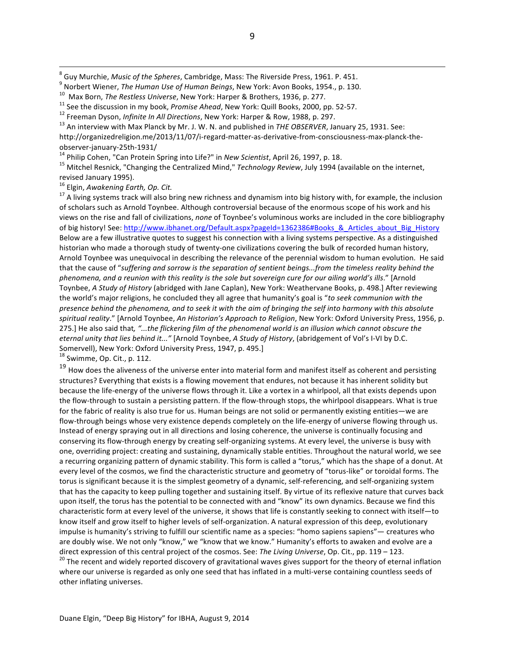http://organizedreligion.me/2013/11/07/i-regard-matter-as-derivative-from-consciousness-max-planck-the-

observer-january-25th-1931/<br><sup>14</sup> Philip Cohen, "Can Protein Spring into Life?" in *New Scientist*, April 26, 1997, p. 18.<br><sup>15</sup> Mitchel Resnick, "Changing the Centralized Mind," *Technology Review*, July 1994 (available on

revised January 1995).<br><sup>16</sup> Elgin, *Awakening Earth, Op. Cit.*<br><sup>17</sup> A living systems track will also bring new richness and dynamism into big history with, for example, the inclusion of scholars such as Arnold Toynbee. Although controversial because of the enormous scope of his work and his views on the rise and fall of civilizations, *none* of Toynbee's voluminous works are included in the core bibliography of big history! See: http://www.ibhanet.org/Default.aspx?pageId=1362386#Books\_&\_Articles\_about\_Big\_History Below are a few illustrative quotes to suggest his connection with a living systems perspective. As a distinguished historian who made a thorough study of twenty-one civilizations covering the bulk of recorded human history, Arnold Toynbee was unequivocal in describing the relevance of the perennial wisdom to human evolution. He said that the cause of "suffering and sorrow is the separation of sentient beings...from the timeless reality behind the phenomena, and a reunion with this reality is the sole but sovereign cure for our ailing world's ills." [Arnold Toynbee, *A Study of History* (abridged with Jane Caplan), New York: Weathervane Books, p. 498.] After reviewing the world's major religions, he concluded they all agree that humanity's goal is "to seek communion with the *presence behind the phenomena, and to seek it with the aim of bringing the self into harmony with this absolute* spiritual reality." [Arnold Toynbee, An Historian's Approach to Religion, New York: Oxford University Press, 1956, p. 275.] He also said that, "...the flickering film of the phenomenal world is an illusion which cannot obscure the *eternal unity that lies behind it..."* [Arnold Toynbee, A Study of History, (abridgement of Vol's I-VI by D.C. Somervell), New York: Oxford University Press, 1947, p. 495.]<br><sup>18</sup> Swimme, Op. Cit., p. 112.

 $19$  How does the aliveness of the universe enter into material form and manifest itself as coherent and persisting structures? Everything that exists is a flowing movement that endures, not because it has inherent solidity but because the life-energy of the universe flows through it. Like a vortex in a whirlpool, all that exists depends upon the flow-through to sustain a persisting pattern. If the flow-through stops, the whirlpool disappears. What is true for the fabric of reality is also true for us. Human beings are not solid or permanently existing entities—we are flow-through beings whose very existence depends completely on the life-energy of universe flowing through us. Instead of energy spraying out in all directions and losing coherence, the universe is continually focusing and conserving its flow-through energy by creating self-organizing systems. At every level, the universe is busy with one, overriding project: creating and sustaining, dynamically stable entities. Throughout the natural world, we see a recurring organizing pattern of dynamic stability. This form is called a "torus," which has the shape of a donut. At every level of the cosmos, we find the characteristic structure and geometry of "torus-like" or toroidal forms. The torus is significant because it is the simplest geometry of a dynamic, self-referencing, and self-organizing system that has the capacity to keep pulling together and sustaining itself. By virtue of its reflexive nature that curves back upon itself, the torus has the potential to be connected with and "know" its own dynamics. Because we find this characteristic form at every level of the universe, it shows that life is constantly seeking to connect with itself-to know itself and grow itself to higher levels of self-organization. A natural expression of this deep, evolutionary impulse is humanity's striving to fulfill our scientific name as a species: "homo sapiens sapiens"— creatures who are doubly wise. We not only "know," we "know that we know." Humanity's efforts to awaken and evolve are a direct expression of this central project of the cosmos. See: The Living Universe, Op. Cit., pp. 119 – 123.<br><sup>20</sup> The recent and widely reported discovery of gravitational waves gives support for the theory of eternal infl

where our universe is regarded as only one seed that has inflated in a multi-verse containing countless seeds of other inflating universes.

<sup>&</sup>lt;sup>8</sup> Guy Murchie, *Music of the Spheres*, Cambridge, Mass: The Riverside Press, 1961. P. 451.<br><sup>9</sup> Norbert Wiener, *The Human Use of Human Beings*, New York: Avon Books, 1954., p. 130.<br><sup>10</sup> Max Born, *The Restless Universe*